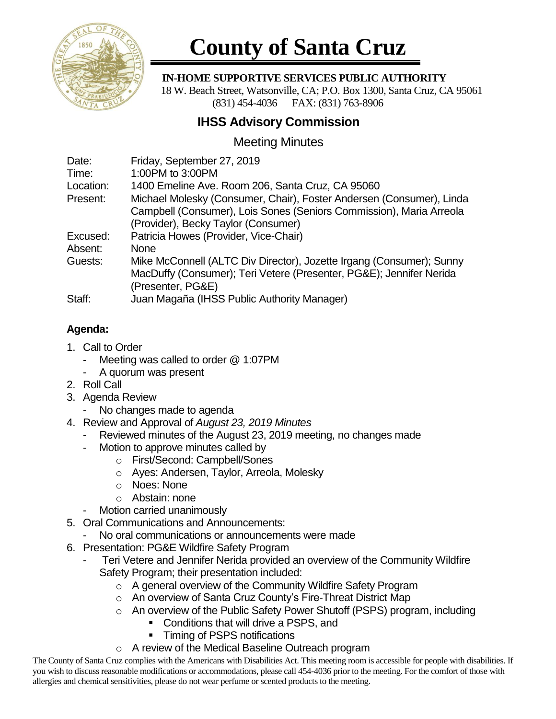

# **County of Santa Cruz**

#### **IN-HOME SUPPORTIVE SERVICES PUBLIC AUTHORITY**

 18 W. Beach Street, Watsonville, CA; P.O. Box 1300, Santa Cruz, CA 95061 (831) 454-4036 FAX: (831) 763-8906

## **IHSS Advisory Commission**

## Meeting Minutes

| Date:     | Friday, September 27, 2019                                           |
|-----------|----------------------------------------------------------------------|
| Time:     | 1:00PM to 3:00PM                                                     |
| Location: | 1400 Emeline Ave. Room 206, Santa Cruz, CA 95060                     |
| Present:  | Michael Molesky (Consumer, Chair), Foster Andersen (Consumer), Linda |
|           | Campbell (Consumer), Lois Sones (Seniors Commission), Maria Arreola  |
|           | (Provider), Becky Taylor (Consumer)                                  |
| Excused:  | Patricia Howes (Provider, Vice-Chair)                                |
| Absent:   | <b>None</b>                                                          |
| Guests:   | Mike McConnell (ALTC Div Director), Jozette Irgang (Consumer); Sunny |
|           | MacDuffy (Consumer); Teri Vetere (Presenter, PG&E); Jennifer Nerida  |
|           | (Presenter, PG&E)                                                    |
| Staff:    | Juan Magaña (IHSS Public Authority Manager)                          |

### **Agenda:**

- 1. Call to Order
	- Meeting was called to order @ 1:07PM
	- A quorum was present
- 2. Roll Call
- 3. Agenda Review
	- No changes made to agenda
- 4. Review and Approval of *August 23, 2019 Minutes*
	- Reviewed minutes of the August 23, 2019 meeting, no changes made
	- Motion to approve minutes called by
		- o First/Second: Campbell/Sones
		- o Ayes: Andersen, Taylor, Arreola, Molesky
		- o Noes: None
		- o Abstain: none
	- Motion carried unanimously
- 5. Oral Communications and Announcements:
- No oral communications or announcements were made
- 6. Presentation: PG&E Wildfire Safety Program
	- Teri Vetere and Jennifer Nerida provided an overview of the Community Wildfire Safety Program; their presentation included:
		- o A general overview of the Community Wildfire Safety Program
		- o An overview of Santa Cruz County's Fire-Threat District Map
		- o An overview of the Public Safety Power Shutoff (PSPS) program, including
			- Conditions that will drive a PSPS, and
			- **•** Timing of PSPS notifications
		- o A review of the Medical Baseline Outreach program

The County of Santa Cruz complies with the Americans with Disabilities Act. This meeting room is accessible for people with disabilities. If you wish to discuss reasonable modifications or accommodations, please call 454-4036 prior to the meeting. For the comfort of those with allergies and chemical sensitivities, please do not wear perfume or scented products to the meeting.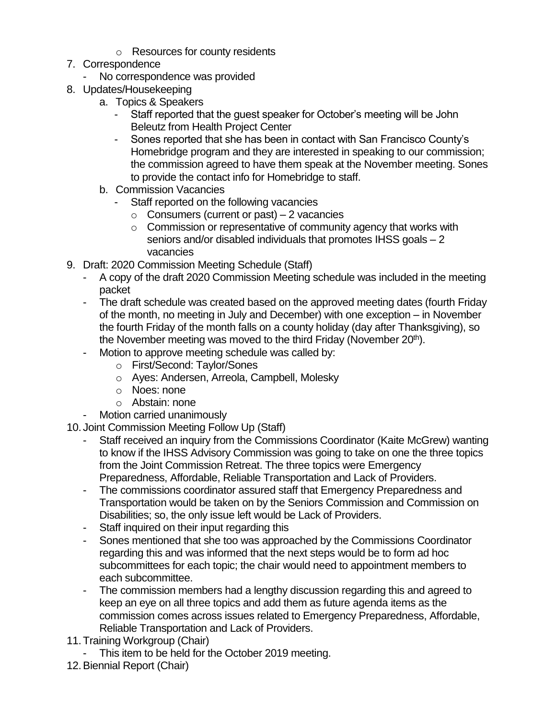- o Resources for county residents
- 7. Correspondence
	- No correspondence was provided
- 8. Updates/Housekeeping
	- a. Topics & Speakers
		- Staff reported that the guest speaker for October's meeting will be John Beleutz from Health Project Center
		- Sones reported that she has been in contact with San Francisco County's Homebridge program and they are interested in speaking to our commission; the commission agreed to have them speak at the November meeting. Sones to provide the contact info for Homebridge to staff.
	- b. Commission Vacancies
		- Staff reported on the following vacancies
			- $\circ$  Consumers (current or past) 2 vacancies
			- o Commission or representative of community agency that works with seniors and/or disabled individuals that promotes IHSS goals – 2 vacancies
- 9. Draft: 2020 Commission Meeting Schedule (Staff)
	- A copy of the draft 2020 Commission Meeting schedule was included in the meeting packet
	- The draft schedule was created based on the approved meeting dates (fourth Friday of the month, no meeting in July and December) with one exception – in November the fourth Friday of the month falls on a county holiday (day after Thanksgiving), so the November meeting was moved to the third Friday (November 20<sup>th</sup>).
	- Motion to approve meeting schedule was called by:
		- o First/Second: Taylor/Sones
		- o Ayes: Andersen, Arreola, Campbell, Molesky
		- o Noes: none
		- o Abstain: none
	- Motion carried unanimously
- 10. Joint Commission Meeting Follow Up (Staff)
	- Staff received an inquiry from the Commissions Coordinator (Kaite McGrew) wanting to know if the IHSS Advisory Commission was going to take on one the three topics from the Joint Commission Retreat. The three topics were Emergency Preparedness, Affordable, Reliable Transportation and Lack of Providers.
	- The commissions coordinator assured staff that Emergency Preparedness and Transportation would be taken on by the Seniors Commission and Commission on Disabilities; so, the only issue left would be Lack of Providers.
	- Staff inquired on their input regarding this
	- Sones mentioned that she too was approached by the Commissions Coordinator regarding this and was informed that the next steps would be to form ad hoc subcommittees for each topic; the chair would need to appointment members to each subcommittee.
	- The commission members had a lengthy discussion regarding this and agreed to keep an eye on all three topics and add them as future agenda items as the commission comes across issues related to Emergency Preparedness, Affordable, Reliable Transportation and Lack of Providers.
- 11.Training Workgroup (Chair)
	- This item to be held for the October 2019 meeting.
- 12.Biennial Report (Chair)